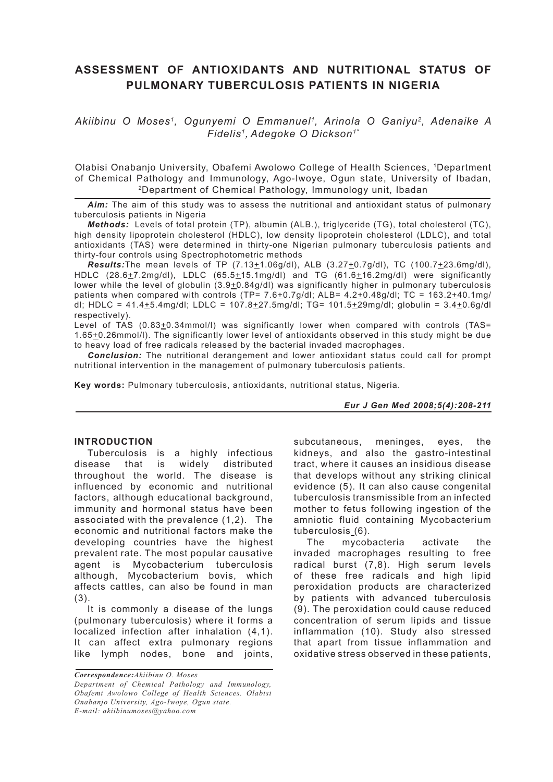# **ASSESSMENT OF ANTIOXIDANTS AND NUTRITIONAL STATUS OF PULMONARY TUBERCULOSIS PATIENTS IN NIGERIA**

*Akiibinu O Moses1, Ogunyemi O Emmanuel1, Arinola O Ganiyu2, Adenaike A Fidelis1, Adegoke O Dickson1\**

Olabisi Onabanjo University, Obafemi Awolowo College of Health Sciences, 1Department of Chemical Pathology and Immunology, Ago-Iwoye, Ogun state, University of Ibadan, 2Department of Chemical Pathology, Immunology unit, Ibadan

*Aim:* The aim of this study was to assess the nutritional and antioxidant status of pulmonary tuberculosis patients in Nigeria

*Methods:*Levels of total protein (TP), albumin (ALB.), triglyceride (TG), total cholesterol (TC), high density lipoprotein cholesterol (HDLC), low density lipoprotein cholesterol (LDLC), and total antioxidants (TAS) were determined in thirty-one Nigerian pulmonary tuberculosis patients and thirty-four controls using Spectrophotometric methods

*Results:*The mean levels of TP (7.13±1.06g/dl), ALB (3.27±0.7g/dl), TC (100.7±23.6mg/dl), HDLC (28.6 $\pm$ 7.2mg/dl), LDLC (65.5 $\pm$ 15.1mg/dl) and TG (61.6 $\pm$ 16.2mg/dl) were significantly lower while the level of globulin  $(3.9 \pm 0.84g/dl)$  was significantly higher in pulmonary tuberculosis patients when compared with controls (TP=  $7.6 \pm 0.7$ g/dl; ALB=  $4.2 \pm 0.48$ g/dl; TC = 163.2 $\pm 40.1$ mg/ dl; HDLC =  $41.4 + 5.4$ mg/dl; LDLC =  $107.8 + 27.5$ mg/dl; TG=  $101.5 + 29$ mg/dl; globulin =  $3.4 + 0.6$ g/dl respectively).

Level of TAS (0.83+0.34mmol/l) was significantly lower when compared with controls (TAS= 1.65+0.26mmol/l). The significantly lower level of antioxidants observed in this study might be due to heavy load of free radicals released by the bacterial invaded macrophages.

*Conclusion:* The nutritional derangement and lower antioxidant status could call for prompt nutritional intervention in the management of pulmonary tuberculosis patients.

**Key words:** Pulmonary tuberculosis, antioxidants, nutritional status, Nigeria.

### *Eur J Gen Med 2008;5(4):208-211*

### **INTRODUCTION**

Tuberculosis is a highly infectious disease that is widely distributed throughout the world. The disease is influenced by economic and nutritional factors, although educational background, immunity and hormonal status have been associated with the prevalence (1,2). The economic and nutritional factors make the developing countries have the highest prevalent rate. The most popular causative agent is Mycobacterium tuberculosis although, Mycobacterium bovis, which affects cattles, can also be found in man (3).

It is commonly a disease of the lungs (pulmonary tuberculosis) where it forms a localized infection after inhalation (4,1). It can affect extra pulmonary regions like lymph nodes, bone and joints,

*Correspondence:Akiibinu O. Moses Department of Chemical Pathology and Immunology, Obafemi Awolowo College of Health Sciences. Olabisi Onabanjo University, Ago-Iwoye, Ogun state. E-mail: akiibinumoses@yahoo.com*

subcutaneous, meninges, eyes, the kidneys, and also the gastro-intestinal tract, where it causes an insidious disease that develops without any striking clinical evidence (5). It can also cause congenital tuberculosis transmissible from an infected mother to fetus following ingestion of the amniotic fluid containing Mycobacterium tuberculosis (6).

The mycobacteria activate the invaded macrophages resulting to free radical burst (7,8). High serum levels of these free radicals and high lipid peroxidation products are characterized by patients with advanced tuberculosis (9). The peroxidation could cause reduced concentration of serum lipids and tissue inflammation (10). Study also stressed that apart from tissue inflammation and oxidative stress observed in these patients,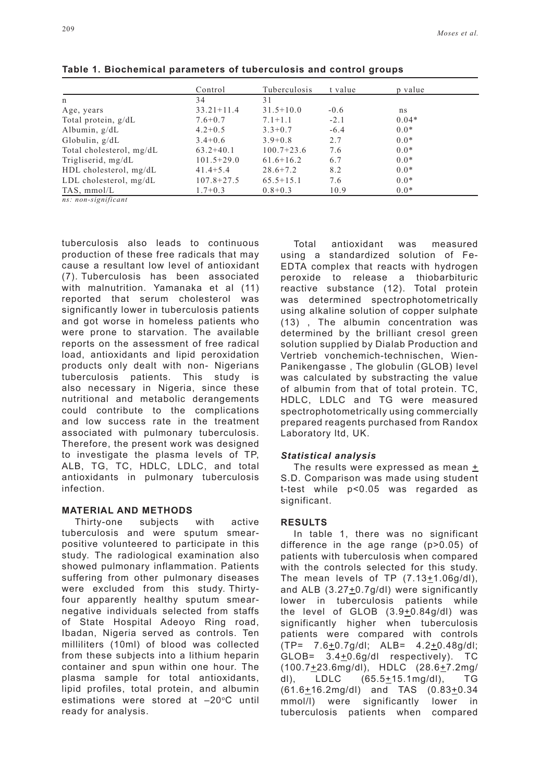|                             | Control        | Tuberculosis  | t value | p value |  |
|-----------------------------|----------------|---------------|---------|---------|--|
| n                           | 34             | 31            |         |         |  |
| Age, years                  | $33.21 + 11.4$ | $31.5 + 10.0$ | $-0.6$  | ns      |  |
| Total protein, g/dL         | $7.6 + 0.7$    | $7.1 + 1.1$   | $-2.1$  | $0.04*$ |  |
| Albumin, $g/dL$             | $4.2 + 0.5$    | $3.3 + 0.7$   | $-6.4$  | $0.0*$  |  |
| Globulin, $g/dL$            | $3.4+0.6$      | $3.9 + 0.8$   | 2.7     | $0.0*$  |  |
| Total cholesterol, mg/dL    | $63.2+40.1$    | $100.7+23.6$  | 7.6     | $0.0*$  |  |
| Trigliserid, mg/dL          | $101.5+29.0$   | $61.6 + 16.2$ | 6.7     | $0.0*$  |  |
| HDL cholesterol, mg/dL      | $41.4 + 5.4$   | $28.6 + 7.2$  | 8.2     | $0.0*$  |  |
| $LDL$ cholesterol, mg/d $L$ | $107.8 + 27.5$ | $65.5 + 15.1$ | 7.6     | $0.0*$  |  |
| TAS, $mmol/L$               | $1.7 + 0.3$    | $0.8 + 0.3$   | 10.9    | $0.0*$  |  |

**Table 1. Biochemical parameters of tuberculosis and control groups**

*ns: non-significant*

tuberculosis also leads to continuous production of these free radicals that may cause a resultant low level of antioxidant (7). Tuberculosis has been associated with malnutrition. Yamanaka et al (11) reported that serum cholesterol was significantly lower in tuberculosis patients and got worse in homeless patients who were prone to starvation. The available reports on the assessment of free radical load, antioxidants and lipid peroxidation products only dealt with non- Nigerians tuberculosis patients. This study is also necessary in Nigeria, since these nutritional and metabolic derangements could contribute to the complications and low success rate in the treatment associated with pulmonary tuberculosis. Therefore, the present work was designed to investigate the plasma levels of TP, ALB, TG, TC, HDLC, LDLC, and total antioxidants in pulmonary tuberculosis infection.

**MATERIAL AND METHODS** Thirty-one subjects with active tuberculosis and were sputum smearpositive volunteered to participate in this study. The radiological examination also showed pulmonary inflammation. Patients suffering from other pulmonary diseases were excluded from this study. Thirtyfour apparently healthy sputum smearnegative individuals selected from staffs of State Hospital Adeoyo Ring road, Ibadan, Nigeria served as controls. Ten milliliters (10ml) of blood was collected from these subjects into a lithium heparin container and spun within one hour. The plasma sample for total antioxidants, lipid profiles, total protein, and albumin estimations were stored at  $-20^{\circ}$ C until ready for analysis.

Total antioxidant was measured using a standardized solution of Fe-EDTA complex that reacts with hydrogen peroxide to release a thiobarbituric reactive substance (12). Total protein was determined spectrophotometrically using alkaline solution of copper sulphate (13) , The albumin concentration was determined by the brilliant cresol green solution supplied by Dialab Production and Vertrieb vonchemich-technischen, Wien-Panikengasse , The globulin (GLOB) level was calculated by substracting the value of albumin from that of total protein. TC, HDLC, LDLC and TG were measured spectrophotometrically using commercially prepared reagents purchased from Randox Laboratory ltd, UK.

#### *Statistical analysis*

The results were expressed as mean  $+$ S.D. Comparison was made using student t-test while p<0.05 was regarded as significant.

#### **RESULTS**

In table 1, there was no significant difference in the age range (p>0.05) of patients with tuberculosis when compared with the controls selected for this study. The mean levels of TP (7.13+1.06g/dl), and ALB  $(3.27 \pm 0.7g/dl)$  were significantly lower in tuberculosis patients while the level of GLOB  $(3.9+0.84g/dl)$  was significantly higher when tuberculosis patients were compared with controls  $(TP= 7.6+0.7g/dl$ ;  $ALB= 4.2+0.48g/dl$ ; GLOB= 3.4+0.6g/dl respectively). TC (100.7+23.6mg/dl), HDLC (28.6+7.2mg/ dl), LDLC (65.5+15.1mg/dl), TG  $(61.6 \pm 16.2 \text{mg/dl})$  and TAS  $(0.83 \pm 0.34)$ mmol/l) were significantly lower in tuberculosis patients when compared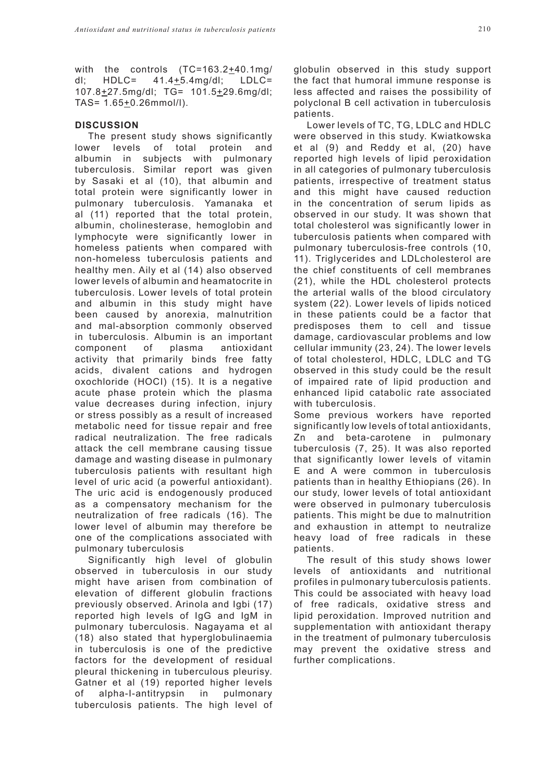with the controls (TC=163.2+40.1mg/ dl; HDLC= 41.4+5.4mg/dl; LDLC= 107.8+27.5mg/dl; TG= 101.5+29.6mg/dl; TAS= 1.65+0.26mmol/l).

## **DISCUSSION**

The present study shows significantly lower levels of total protein and albumin in subjects with pulmonary tuberculosis. Similar report was given by Sasaki et al (10), that albumin and total protein were significantly lower in pulmonary tuberculosis. Yamanaka et al (11) reported that the total protein, albumin, cholinesterase, hemoglobin and lymphocyte were significantly lower in homeless patients when compared with non-homeless tuberculosis patients and healthy men. Aily et al (14) also observed lower levels of albumin and heamatocrite in tuberculosis. Lower levels of total protein and albumin in this study might have been caused by anorexia, malnutrition and mal-absorption commonly observed in tuberculosis. Albumin is an important component of plasma antioxidant activity that primarily binds free fatty acids, divalent cations and hydrogen oxochloride (HOCI) (15). It is a negative acute phase protein which the plasma value decreases during infection, injury or stress possibly as a result of increased metabolic need for tissue repair and free radical neutralization. The free radicals attack the cell membrane causing tissue damage and wasting disease in pulmonary tuberculosis patients with resultant high level of uric acid (a powerful antioxidant). The uric acid is endogenously produced as a compensatory mechanism for the neutralization of free radicals (16). The lower level of albumin may therefore be one of the complications associated with pulmonary tuberculosis

Significantly high level of globulin observed in tuberculosis in our study might have arisen from combination of elevation of different globulin fractions previously observed. Arinola and Igbi (17) reported high levels of IgG and IgM in pulmonary tuberculosis. Nagayama et al (18) also stated that hyperglobulinaemia in tuberculosis is one of the predictive factors for the development of residual pleural thickening in tuberculous pleurisy. Gatner et al (19) reported higher levels of alpha-I-antitrypsin in pulmonary tuberculosis patients. The high level of globulin observed in this study support the fact that humoral immune response is less affected and raises the possibility of polyclonal B cell activation in tuberculosis patients.

Lower levels of TC, TG, LDLC and HDLC were observed in this study. Kwiatkowska et al (9) and Reddy et al, (20) have reported high levels of lipid peroxidation in all categories of pulmonary tuberculosis patients, irrespective of treatment status and this might have caused reduction in the concentration of serum lipids as observed in our study. It was shown that total cholesterol was significantly lower in tuberculosis patients when compared with pulmonary tuberculosis-free controls (10, 11). Triglycerides and LDLcholesterol are the chief constituents of cell membranes (21), while the HDL cholesterol protects the arterial walls of the blood circulatory system (22). Lower levels of lipids noticed in these patients could be a factor that predisposes them to cell and tissue damage, cardiovascular problems and low cellular immunity (23, 24). The lower levels of total cholesterol, HDLC, LDLC and TG observed in this study could be the result of impaired rate of lipid production and enhanced lipid catabolic rate associated with tuberculosis.

Some previous workers have reported significantly low levels of total antioxidants, Zn and beta-carotene in pulmonary tuberculosis (7, 25). It was also reported that significantly lower levels of vitamin E and A were common in tuberculosis patients than in healthy Ethiopians (26). In our study, lower levels of total antioxidant were observed in pulmonary tuberculosis patients. This might be due to malnutrition and exhaustion in attempt to neutralize heavy load of free radicals in these patients.

The result of this study shows lower levels of antioxidants and nutritional profiles in pulmonary tuberculosis patients. This could be associated with heavy load of free radicals, oxidative stress and lipid peroxidation. Improved nutrition and supplementation with antioxidant therapy in the treatment of pulmonary tuberculosis may prevent the oxidative stress and further complications.